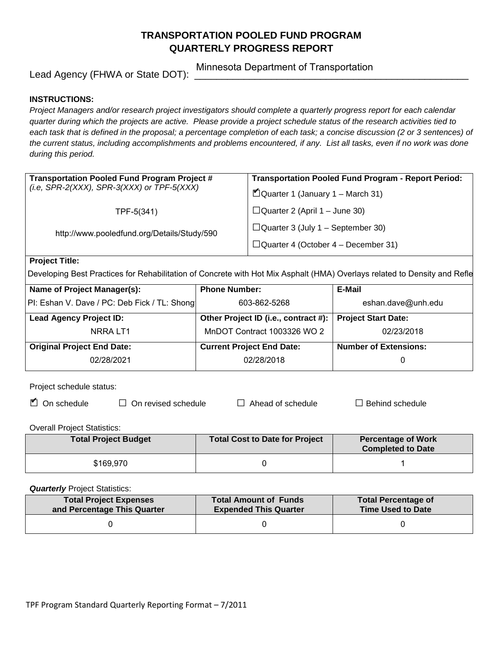# **TRANSPORTATION POOLED FUND PROGRAM QUARTERLY PROGRESS REPORT**

Lead Agency (FHWA or State DOT):

Minnesota Department of Transportation

#### **INSTRUCTIONS:**

*Project Managers and/or research project investigators should complete a quarterly progress report for each calendar quarter during which the projects are active. Please provide a project schedule status of the research activities tied to*  each task that is defined in the proposal; a percentage completion of each task; a concise discussion (2 or 3 sentences) of *the current status, including accomplishments and problems encountered, if any. List all tasks, even if no work was done during this period.*

| <b>Transportation Pooled Fund Program Project #</b> | <b>Transportation Pooled Fund Program - Report Period:</b> |  |
|-----------------------------------------------------|------------------------------------------------------------|--|
| (i.e, SPR-2(XXX), SPR-3(XXX) or TPF-5(XXX)          | $\blacksquare$ Quarter 1 (January 1 – March 31)            |  |
| TPF-5(341)                                          | $\Box$ Quarter 2 (April 1 – June 30)                       |  |
| http://www.pooledfund.org/Details/Study/590         | $\Box$ Quarter 3 (July 1 – September 30)                   |  |
|                                                     | $\Box$ Quarter 4 (October 4 – December 31)                 |  |

#### **Project Title:**

Developing Best Practices for Rehabilitation of Concrete with Hot Mix Asphalt (HMA) Overlays related to Density and Refle

| Name of Project Manager(s):                  | <b>Phone Number:</b>                                       | E-Mail                       |
|----------------------------------------------|------------------------------------------------------------|------------------------------|
| PI: Eshan V. Dave / PC: Deb Fick / TL: Shong | 603-862-5268                                               | eshan.dave@unh.edu           |
| <b>Lead Agency Project ID:</b>               | Other Project ID (i.e., contract #):   Project Start Date: |                              |
| NRRA LT1                                     | MnDOT Contract 1003326 WO 2                                | 02/23/2018                   |
| <b>Original Project End Date:</b>            | <b>Current Project End Date:</b>                           | <b>Number of Extensions:</b> |
| 02/28/2021                                   | 02/28/2018                                                 |                              |

Project schedule status:

| $\Box$ On schedule | $\Box$ On revised schedule | $\Box$ Ahead of schedule | $\Box$ Behind schedule |
|--------------------|----------------------------|--------------------------|------------------------|
|                    |                            |                          |                        |

Overall Project Statistics:

| <b>Total Project Budget</b> | <b>Total Cost to Date for Project</b> | <b>Percentage of Work</b><br><b>Completed to Date</b> |
|-----------------------------|---------------------------------------|-------------------------------------------------------|
| \$169,970                   |                                       |                                                       |

**Quarterly** Project Statistics:

| <b>Total Project Expenses</b> | <b>Total Amount of Funds</b> | <b>Total Percentage of</b> |
|-------------------------------|------------------------------|----------------------------|
| and Percentage This Quarter   | <b>Expended This Quarter</b> | <b>Time Used to Date</b>   |
|                               |                              |                            |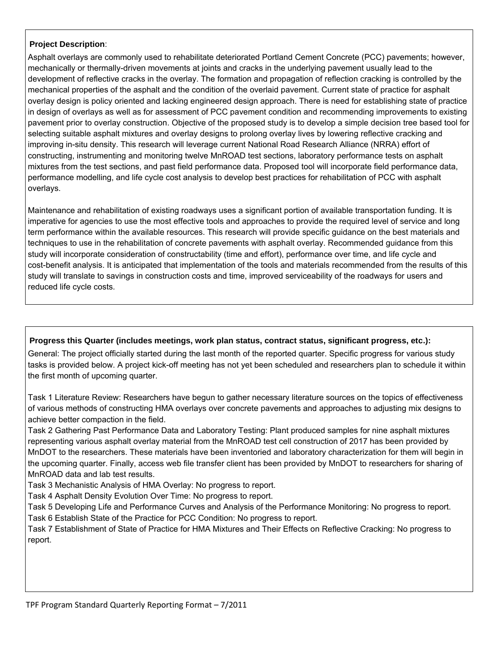### **Project Description**:

Asphalt overlays are commonly used to rehabilitate deteriorated Portland Cement Concrete (PCC) pavements; however, mechanically or thermally-driven movements at joints and cracks in the underlying pavement usually lead to the development of reflective cracks in the overlay. The formation and propagation of reflection cracking is controlled by the mechanical properties of the asphalt and the condition of the overlaid pavement. Current state of practice for asphalt overlay design is policy oriented and lacking engineered design approach. There is need for establishing state of practice in design of overlays as well as for assessment of PCC pavement condition and recommending improvements to existing pavement prior to overlay construction. Objective of the proposed study is to develop a simple decision tree based tool for selecting suitable asphalt mixtures and overlay designs to prolong overlay lives by lowering reflective cracking and improving in-situ density. This research will leverage current National Road Research Alliance (NRRA) effort of constructing, instrumenting and monitoring twelve MnROAD test sections, laboratory performance tests on asphalt mixtures from the test sections, and past field performance data. Proposed tool will incorporate field performance data, performance modelling, and life cycle cost analysis to develop best practices for rehabilitation of PCC with asphalt overlays.

Maintenance and rehabilitation of existing roadways uses a significant portion of available transportation funding. It is imperative for agencies to use the most effective tools and approaches to provide the required level of service and long term performance within the available resources. This research will provide specific guidance on the best materials and techniques to use in the rehabilitation of concrete pavements with asphalt overlay. Recommended guidance from this study will incorporate consideration of constructability (time and effort), performance over time, and life cycle and cost-benefit analysis. It is anticipated that implementation of the tools and materials recommended from the results of this study will translate to savings in construction costs and time, improved serviceability of the roadways for users and reduced life cycle costs.

# **Progress this Quarter (includes meetings, work plan status, contract status, significant progress, etc.):**

General: The project officially started during the last month of the reported quarter. Specific progress for various study tasks is provided below. A project kick-off meeting has not yet been scheduled and researchers plan to schedule it within the first month of upcoming quarter.

Task 1 Literature Review: Researchers have begun to gather necessary literature sources on the topics of effectiveness of various methods of constructing HMA overlays over concrete pavements and approaches to adjusting mix designs to achieve better compaction in the field.

Task 2 Gathering Past Performance Data and Laboratory Testing: Plant produced samples for nine asphalt mixtures representing various asphalt overlay material from the MnROAD test cell construction of 2017 has been provided by MnDOT to the researchers. These materials have been inventoried and laboratory characterization for them will begin in the upcoming quarter. Finally, access web file transfer client has been provided by MnDOT to researchers for sharing of MnROAD data and lab test results.

Task 3 Mechanistic Analysis of HMA Overlay: No progress to report.

Task 4 Asphalt Density Evolution Over Time: No progress to report.

Task 5 Developing Life and Performance Curves and Analysis of the Performance Monitoring: No progress to report. Task 6 Establish State of the Practice for PCC Condition: No progress to report.

Task 7 Establishment of State of Practice for HMA Mixtures and Their Effects on Reflective Cracking: No progress to report.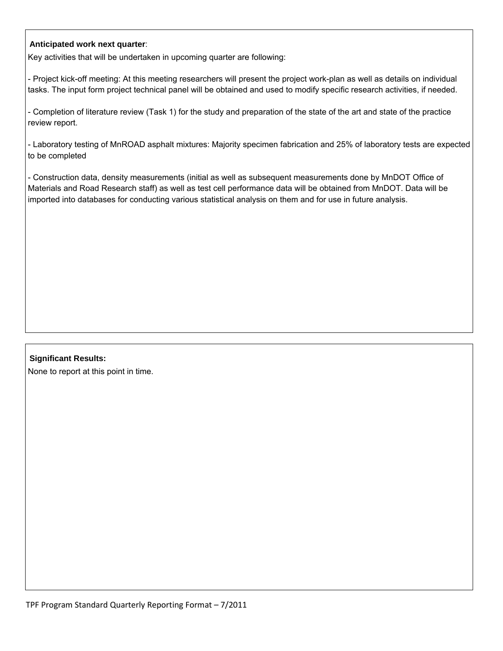### **Anticipated work next quarter**:

Key activities that will be undertaken in upcoming quarter are following:

- Project kick-off meeting: At this meeting researchers will present the project work-plan as well as details on individual tasks. The input form project technical panel will be obtained and used to modify specific research activities, if needed.

- Completion of literature review (Task 1) for the study and preparation of the state of the art and state of the practice review report.

- Laboratory testing of MnROAD asphalt mixtures: Majority specimen fabrication and 25% of laboratory tests are expected to be completed

- Construction data, density measurements (initial as well as subsequent measurements done by MnDOT Office of Materials and Road Research staff) as well as test cell performance data will be obtained from MnDOT. Data will be imported into databases for conducting various statistical analysis on them and for use in future analysis.

# **Significant Results:**

None to report at this point in time.